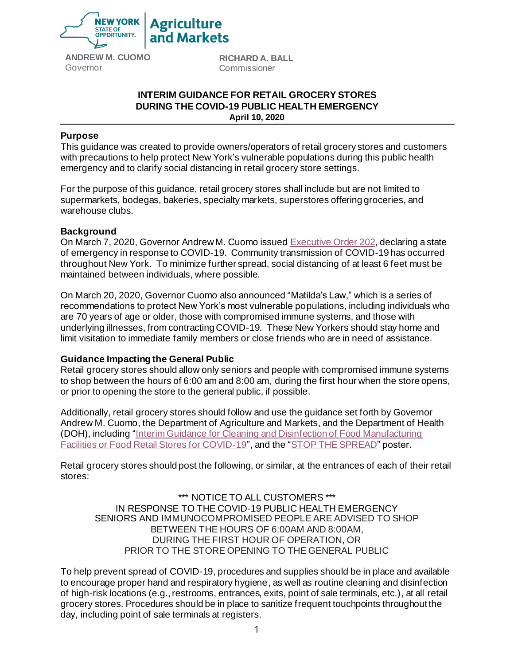

**ANDREW M. CUOMO** Governor

**RICHARD A. BALL**  Commissioner

# **INTERIM GUIDANCE FOR RETAIL GROCERY STORES DURING THE COVID-19 PUBLIC HEALTH EMERGENCY April 10, 2020**

### **Purpose**

This guidance was created to provide owners/operators of retail grocery stores and customers with precautions to help protect New York's vulnerable populations during this public health emergency and to clarify social distancing in retail grocery store settings.

For the purpose of this guidance, retail grocery stores shall include but are not limited to supermarkets, bodegas, bakeries, specialty markets, superstores offering groceries, and warehouse clubs.

#### **Background**

On March 7, 2020, Governor Andrew M. Cuomo issue[d Executive Order 202,](https://www.governor.ny.gov/news/no-202-declaring-disaster-emergency-state-new-york) declaring a state of emergency in response to COVID-19. Community transmission of COVID-19 has occurred throughout New York. To minimize further spread, social distancing of at least 6 feet must be maintained between individuals, where possible.

On March 20, 2020, Governor Cuomo also announced "Matilda's Law," which is a series of recommendations to protect New York's most vulnerable populations, including individuals who are 70 years of age or older, those with compromised immune systems, and those with underlying illnesses, from contracting COVID-19. These New Yorkers should stay home and limit visitation to immediate family members or close friends who are in need of assistance.

## **Guidance Impacting the General Public**

Retail grocery stores should allow only seniors and people with compromised immune systems to shop between the hours of 6:00 am and 8:00 am, during the first hour when the store opens, or prior to opening the store to the general public, if possible.

Additionally, retail grocery stores should follow and use the guidance set forth by Governor Andrew M. Cuomo, the Department of Agriculture and Markets, and the Department of Health (DOH), including ["Interim Guidance for Cleaning and Disinfection of Food Manufacturing](https://coronavirus.health.ny.gov/system/files/documents/2020/03/cleaningfoodstorescovid-19.pdf)  [Facilities or Food Retail Stores for COVID-19"](https://coronavirus.health.ny.gov/system/files/documents/2020/03/cleaningfoodstorescovid-19.pdf), and the ["STOP THE SPREAD"](https://www.health.ny.gov/publications/13067.pdf) poster.

Retail grocery stores should post the following, or similar, at the entrances of each of their retail stores:

\*\*\* NOTICE TO ALL CUSTOMERS \*\*\* IN RESPONSE TO THE COVID-19 PUBLIC HEALTH EMERGENCY SENIORS AND IMMUNOCOMPROMISED PEOPLE ARE ADVISED TO SHOP BETWEEN THE HOURS OF 6:00AM AND 8:00AM, DURING THE FIRST HOUR OF OPERATION, OR PRIOR TO THE STORE OPENING TO THE GENERAL PUBLIC

To help prevent spread of COVID-19, procedures and supplies should be in place and available to encourage proper hand and respiratory hygiene, as well as routine cleaning and disinfection of high-risk locations (e.g., restrooms, entrances, exits, point of sale terminals, etc.), at all retail grocery stores. Procedures should be in place to sanitize frequent touchpoints throughout the day, including point of sale terminals at registers.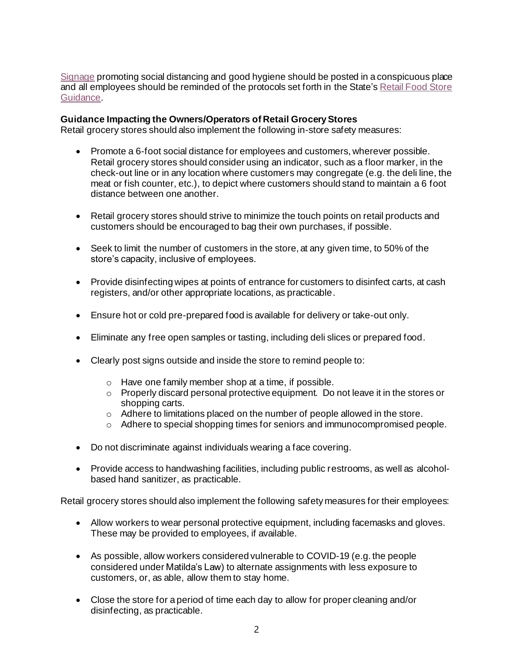[Signage](https://coronavirus.health.ny.gov/protect-yourself-and-your-family-coronavirus-covid-19) promoting social distancing and good hygiene should be posted in a conspicuous place and all employees should be reminded of the protocols set forth in the State's Retail Food Store [Guidance.](https://coronavirus.health.ny.gov/interim-guidance-food-manufacturing-facilities-or-food-retail-stores)

### **Guidance Impacting the Owners/Operators of Retail Grocery Stores**

Retail grocery stores should also implement the following in-store safety measures:

- Promote a 6-foot social distance for employees and customers, wherever possible. Retail grocery stores should consider using an indicator, such as a floor marker, in the check-out line or in any location where customers may congregate (e.g. the deli line, the meat or fish counter, etc.), to depict where customers should stand to maintain a 6 foot distance between one another.
- Retail grocery stores should strive to minimize the touch points on retail products and customers should be encouraged to bag their own purchases, if possible.
- Seek to limit the number of customers in the store, at any given time, to 50% of the store's capacity, inclusive of employees.
- Provide disinfecting wipes at points of entrance for customers to disinfect carts, at cash registers, and/or other appropriate locations, as practicable.
- Ensure hot or cold pre-prepared food is available for delivery or take-out only.
- Eliminate any free open samples or tasting, including deli slices or prepared food.
- Clearly post signs outside and inside the store to remind people to:
	- o Have one family member shop at a time, if possible.
	- $\circ$  Properly discard personal protective equipment. Do not leave it in the stores or shopping carts.
	- $\circ$  Adhere to limitations placed on the number of people allowed in the store.
	- o Adhere to special shopping times for seniors and immunocompromised people.
- Do not discriminate against individuals wearing a face covering.
- Provide access to handwashing facilities, including public restrooms, as well as alcoholbased hand sanitizer, as practicable.

Retail grocery stores should also implement the following safety measures for their employees:

- Allow workers to wear personal protective equipment, including facemasks and gloves. These may be provided to employees, if available.
- As possible, allow workers considered vulnerable to COVID-19 (e.g. the people considered under Matilda's Law) to alternate assignments with less exposure to customers, or, as able, allow them to stay home.
- Close the store for a period of time each day to allow for proper cleaning and/or disinfecting, as practicable.